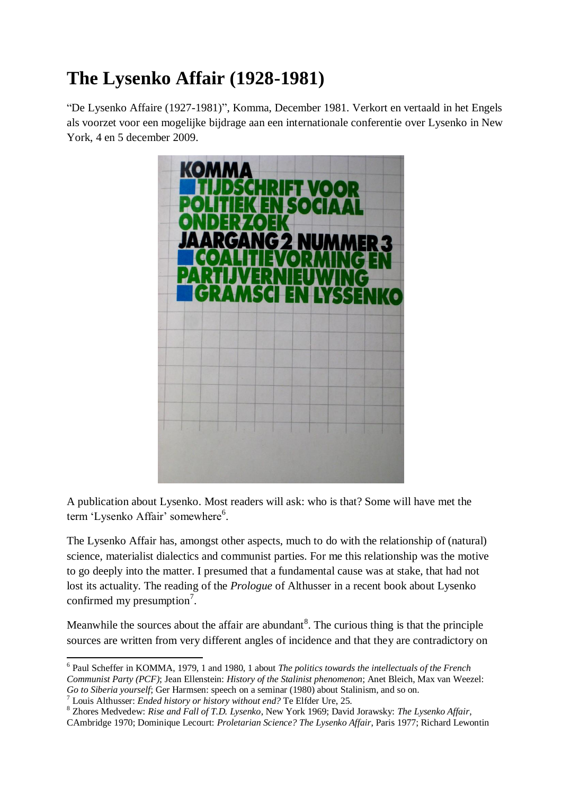# **The Lysenko Affair (1928-1981)**

"De Lysenko Affaire (1927-1981)", Komma, December 1981. Verkort en vertaald in het Engels als voorzet voor een mogelijke bijdrage aan een internationale conferentie over Lysenko in New York, 4 en 5 december 2009.



A publication about Lysenko. Most readers will ask: who is that? Some will have met the term 'Lysenko Affair' somewhere<sup>6</sup>.

The Lysenko Affair has, amongst other aspects, much to do with the relationship of (natural) science, materialist dialectics and communist parties. For me this relationship was the motive to go deeply into the matter. I presumed that a fundamental cause was at stake, that had not lost its actuality. The reading of the *Prologue* of Althusser in a recent book about Lysenko confirmed my presumption<sup>7</sup>.

Meanwhile the sources about the affair are abundant<sup>8</sup>. The curious thing is that the principle sources are written from very different angles of incidence and that they are contradictory on

<sup>8</sup> Zhores Medvedew: *Rise and Fall of T.D. Lysenko*, New York 1969; David Jorawsky: *The Lysenko Affair*, CAmbridge 1970; Dominique Lecourt: *Proletarian Science? The Lysenko Affair*, Paris 1977; Richard Lewontin

 6 Paul Scheffer in KOMMA, 1979, 1 and 1980, 1 about *The politics towards the intellectuals of the French Communist Party (PCF)*; Jean Ellenstein: *History of the Stalinist phenomenon*; Anet Bleich, Max van Weezel: *Go to Siberia yourself*; Ger Harmsen: speech on a seminar (1980) about Stalinism, and so on.

<sup>7</sup> Louis Althusser: *Ended history or history without end?* Te Elfder Ure, 25.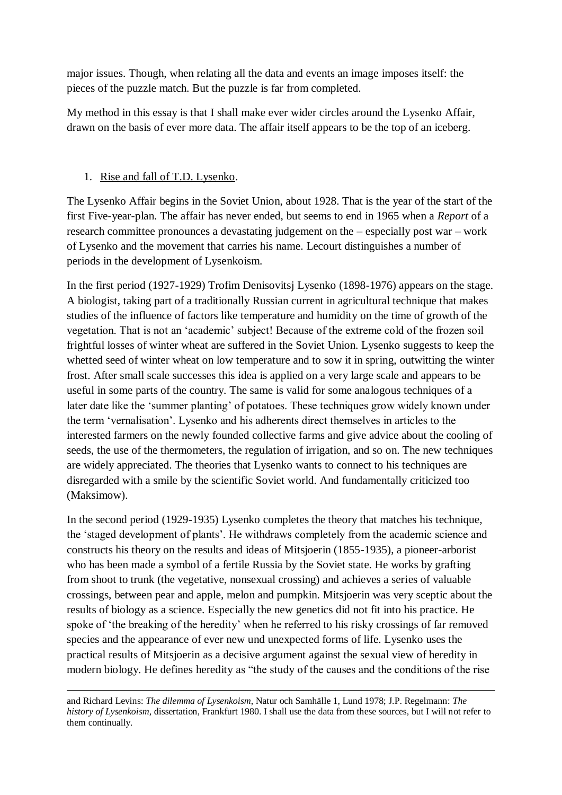major issues. Though, when relating all the data and events an image imposes itself: the pieces of the puzzle match. But the puzzle is far from completed.

My method in this essay is that I shall make ever wider circles around the Lysenko Affair, drawn on the basis of ever more data. The affair itself appears to be the top of an iceberg.

# 1. Rise and fall of T.D. Lysenko.

The Lysenko Affair begins in the Soviet Union, about 1928. That is the year of the start of the first Five-year-plan. The affair has never ended, but seems to end in 1965 when a *Report* of a research committee pronounces a devastating judgement on the – especially post war – work of Lysenko and the movement that carries his name. Lecourt distinguishes a number of periods in the development of Lysenkoism.

In the first period (1927-1929) Trofim Denisovitsj Lysenko (1898-1976) appears on the stage. A biologist, taking part of a traditionally Russian current in agricultural technique that makes studies of the influence of factors like temperature and humidity on the time of growth of the vegetation. That is not an "academic" subject! Because of the extreme cold of the frozen soil frightful losses of winter wheat are suffered in the Soviet Union. Lysenko suggests to keep the whetted seed of winter wheat on low temperature and to sow it in spring, outwitting the winter frost. After small scale successes this idea is applied on a very large scale and appears to be useful in some parts of the country. The same is valid for some analogous techniques of a later date like the 'summer planting' of potatoes. These techniques grow widely known under the term "vernalisation". Lysenko and his adherents direct themselves in articles to the interested farmers on the newly founded collective farms and give advice about the cooling of seeds, the use of the thermometers, the regulation of irrigation, and so on. The new techniques are widely appreciated. The theories that Lysenko wants to connect to his techniques are disregarded with a smile by the scientific Soviet world. And fundamentally criticized too (Maksimow).

In the second period (1929-1935) Lysenko completes the theory that matches his technique, the "staged development of plants". He withdraws completely from the academic science and constructs his theory on the results and ideas of Mitsjoerin (1855-1935), a pioneer-arborist who has been made a symbol of a fertile Russia by the Soviet state. He works by grafting from shoot to trunk (the vegetative, nonsexual crossing) and achieves a series of valuable crossings, between pear and apple, melon and pumpkin. Mitsjoerin was very sceptic about the results of biology as a science. Especially the new genetics did not fit into his practice. He spoke of 'the breaking of the heredity' when he referred to his risky crossings of far removed species and the appearance of ever new und unexpected forms of life. Lysenko uses the practical results of Mitsjoerin as a decisive argument against the sexual view of heredity in modern biology. He defines heredity as "the study of the causes and the conditions of the rise

and Richard Levins: *The dilemma of Lysenkoism*, Natur och Samhälle 1, Lund 1978; J.P. Regelmann: *The history of Lysenkoism*, dissertation, Frankfurt 1980. I shall use the data from these sources, but I will not refer to them continually.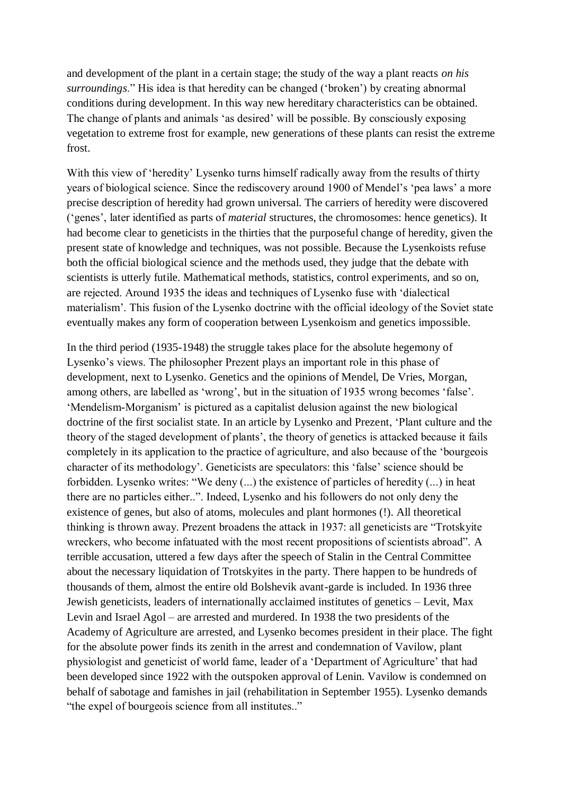and development of the plant in a certain stage; the study of the way a plant reacts *on his surroundings*." His idea is that heredity can be changed ("broken") by creating abnormal conditions during development. In this way new hereditary characteristics can be obtained. The change of plants and animals "as desired" will be possible. By consciously exposing vegetation to extreme frost for example, new generations of these plants can resist the extreme frost.

With this view of 'heredity' Lysenko turns himself radically away from the results of thirty years of biological science. Since the rediscovery around 1900 of Mendel"s "pea laws" a more precise description of heredity had grown universal. The carriers of heredity were discovered ("genes", later identified as parts of *material* structures, the chromosomes: hence genetics). It had become clear to geneticists in the thirties that the purposeful change of heredity, given the present state of knowledge and techniques, was not possible. Because the Lysenkoists refuse both the official biological science and the methods used, they judge that the debate with scientists is utterly futile. Mathematical methods, statistics, control experiments, and so on, are rejected. Around 1935 the ideas and techniques of Lysenko fuse with "dialectical materialism'. This fusion of the Lysenko doctrine with the official ideology of the Soviet state eventually makes any form of cooperation between Lysenkoism and genetics impossible.

In the third period (1935-1948) the struggle takes place for the absolute hegemony of Lysenko"s views. The philosopher Prezent plays an important role in this phase of development, next to Lysenko. Genetics and the opinions of Mendel, De Vries, Morgan, among others, are labelled as 'wrong', but in the situation of 1935 wrong becomes 'false'. "Mendelism-Morganism" is pictured as a capitalist delusion against the new biological doctrine of the first socialist state. In an article by Lysenko and Prezent, "Plant culture and the theory of the staged development of plants", the theory of genetics is attacked because it fails completely in its application to the practice of agriculture, and also because of the "bourgeois character of its methodology". Geneticists are speculators: this "false" science should be forbidden. Lysenko writes: "We deny (...) the existence of particles of heredity (...) in heat there are no particles either..". Indeed, Lysenko and his followers do not only deny the existence of genes, but also of atoms, molecules and plant hormones (!). All theoretical thinking is thrown away. Prezent broadens the attack in 1937: all geneticists are "Trotskyite wreckers, who become infatuated with the most recent propositions of scientists abroad". A terrible accusation, uttered a few days after the speech of Stalin in the Central Committee about the necessary liquidation of Trotskyites in the party. There happen to be hundreds of thousands of them, almost the entire old Bolshevik avant-garde is included. In 1936 three Jewish geneticists, leaders of internationally acclaimed institutes of genetics – Levit, Max Levin and Israel Agol – are arrested and murdered. In 1938 the two presidents of the Academy of Agriculture are arrested, and Lysenko becomes president in their place. The fight for the absolute power finds its zenith in the arrest and condemnation of Vavilow, plant physiologist and geneticist of world fame, leader of a "Department of Agriculture" that had been developed since 1922 with the outspoken approval of Lenin. Vavilow is condemned on behalf of sabotage and famishes in jail (rehabilitation in September 1955). Lysenko demands "the expel of bourgeois science from all institutes.."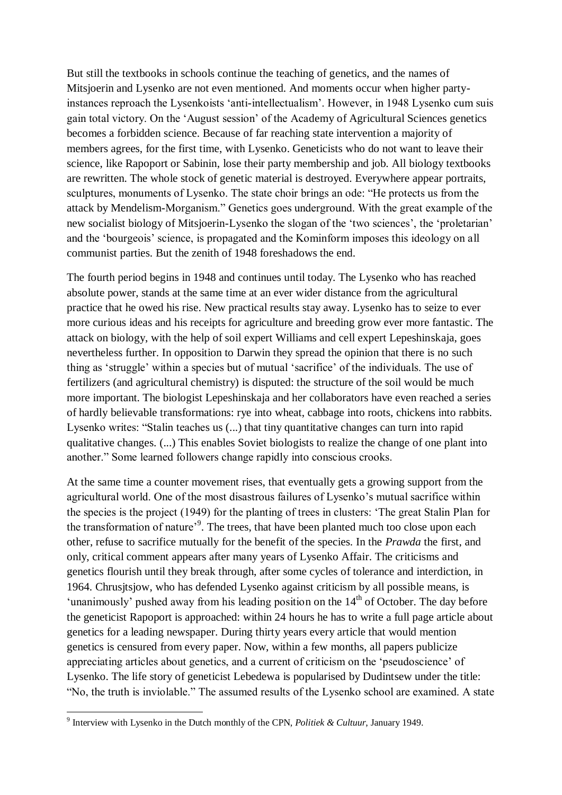But still the textbooks in schools continue the teaching of genetics, and the names of Mitsjoerin and Lysenko are not even mentioned. And moments occur when higher partyinstances reproach the Lysenkoists "anti-intellectualism". However, in 1948 Lysenko cum suis gain total victory. On the "August session" of the Academy of Agricultural Sciences genetics becomes a forbidden science. Because of far reaching state intervention a majority of members agrees, for the first time, with Lysenko. Geneticists who do not want to leave their science, like Rapoport or Sabinin, lose their party membership and job. All biology textbooks are rewritten. The whole stock of genetic material is destroyed. Everywhere appear portraits, sculptures, monuments of Lysenko. The state choir brings an ode: "He protects us from the attack by Mendelism-Morganism." Genetics goes underground. With the great example of the new socialist biology of Mitsjoerin-Lysenko the slogan of the 'two sciences', the 'proletarian' and the "bourgeois" science, is propagated and the Kominform imposes this ideology on all communist parties. But the zenith of 1948 foreshadows the end.

The fourth period begins in 1948 and continues until today. The Lysenko who has reached absolute power, stands at the same time at an ever wider distance from the agricultural practice that he owed his rise. New practical results stay away. Lysenko has to seize to ever more curious ideas and his receipts for agriculture and breeding grow ever more fantastic. The attack on biology, with the help of soil expert Williams and cell expert Lepeshinskaja, goes nevertheless further. In opposition to Darwin they spread the opinion that there is no such thing as "struggle" within a species but of mutual "sacrifice" of the individuals. The use of fertilizers (and agricultural chemistry) is disputed: the structure of the soil would be much more important. The biologist Lepeshinskaja and her collaborators have even reached a series of hardly believable transformations: rye into wheat, cabbage into roots, chickens into rabbits. Lysenko writes: "Stalin teaches us (...) that tiny quantitative changes can turn into rapid qualitative changes. (...) This enables Soviet biologists to realize the change of one plant into another." Some learned followers change rapidly into conscious crooks.

At the same time a counter movement rises, that eventually gets a growing support from the agricultural world. One of the most disastrous failures of Lysenko"s mutual sacrifice within the species is the project (1949) for the planting of trees in clusters: "The great Stalin Plan for the transformation of nature<sup>3</sup>. The trees, that have been planted much too close upon each other, refuse to sacrifice mutually for the benefit of the species. In the *Prawda* the first, and only, critical comment appears after many years of Lysenko Affair. The criticisms and genetics flourish until they break through, after some cycles of tolerance and interdiction, in 1964. Chrusjtsjow, who has defended Lysenko against criticism by all possible means, is 'unanimously' pushed away from his leading position on the  $14<sup>th</sup>$  of October. The day before the geneticist Rapoport is approached: within 24 hours he has to write a full page article about genetics for a leading newspaper. During thirty years every article that would mention genetics is censured from every paper. Now, within a few months, all papers publicize appreciating articles about genetics, and a current of criticism on the "pseudoscience" of Lysenko. The life story of geneticist Lebedewa is popularised by Dudintsew under the title: "No, the truth is inviolable." The assumed results of the Lysenko school are examined. A state

 9 Interview with Lysenko in the Dutch monthly of the CPN, *Politiek & Cultuur*, January 1949.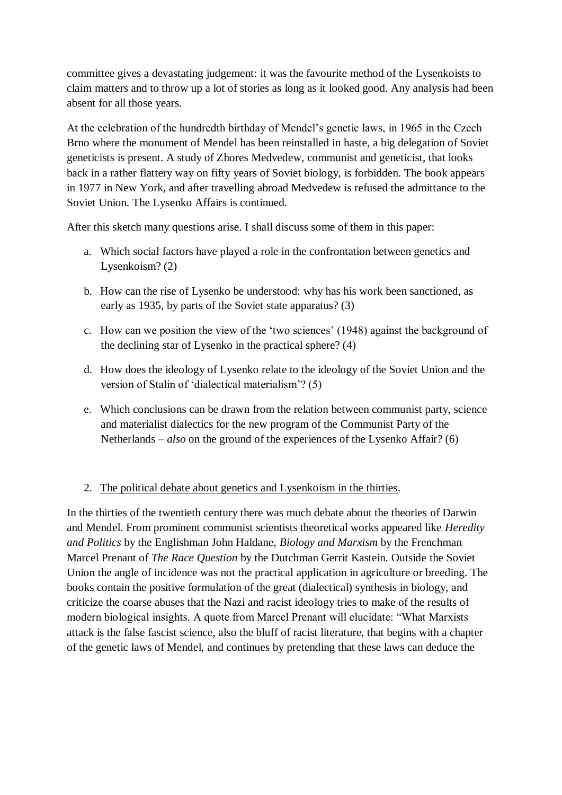committee gives a devastating judgement: it was the favourite method of the Lysenkoists to claim matters and to throw up a lot of stories as long as it looked good. Any analysis had been absent for all those years.

At the celebration of the hundredth birthday of Mendel"s genetic laws, in 1965 in the Czech Brno where the monument of Mendel has been reinstalled in haste, a big delegation of Soviet geneticists is present. A study of Zhores Medvedew, communist and geneticist, that looks back in a rather flattery way on fifty years of Soviet biology, is forbidden. The book appears in 1977 in New York, and after travelling abroad Medvedew is refused the admittance to the Soviet Union. The Lysenko Affairs is continued.

After this sketch many questions arise. I shall discuss some of them in this paper:

- a. Which social factors have played a role in the confrontation between genetics and Lysenkoism? (2)
- b. How can the rise of Lysenko be understood: why has his work been sanctioned, as early as 1935, by parts of the Soviet state apparatus? (3)
- c. How can we position the view of the "two sciences" (1948) against the background of the declining star of Lysenko in the practical sphere? (4)
- d. How does the ideology of Lysenko relate to the ideology of the Soviet Union and the version of Stalin of "dialectical materialism"? (5)
- e. Which conclusions can be drawn from the relation between communist party, science and materialist dialectics for the new program of the Communist Party of the Netherlands – *also* on the ground of the experiences of the Lysenko Affair? (6)

### 2. The political debate about genetics and Lysenkoism in the thirties.

In the thirties of the twentieth century there was much debate about the theories of Darwin and Mendel. From prominent communist scientists theoretical works appeared like *Heredity and Politics* by the Englishman John Haldane, *Biology and Marxism* by the Frenchman Marcel Prenant of *The Race Question* by the Dutchman Gerrit Kastein. Outside the Soviet Union the angle of incidence was not the practical application in agriculture or breeding. The books contain the positive formulation of the great (dialectical) synthesis in biology, and criticize the coarse abuses that the Nazi and racist ideology tries to make of the results of modern biological insights. A quote from Marcel Prenant will elucidate: "What Marxists attack is the false fascist science, also the bluff of racist literature, that begins with a chapter of the genetic laws of Mendel, and continues by pretending that these laws can deduce the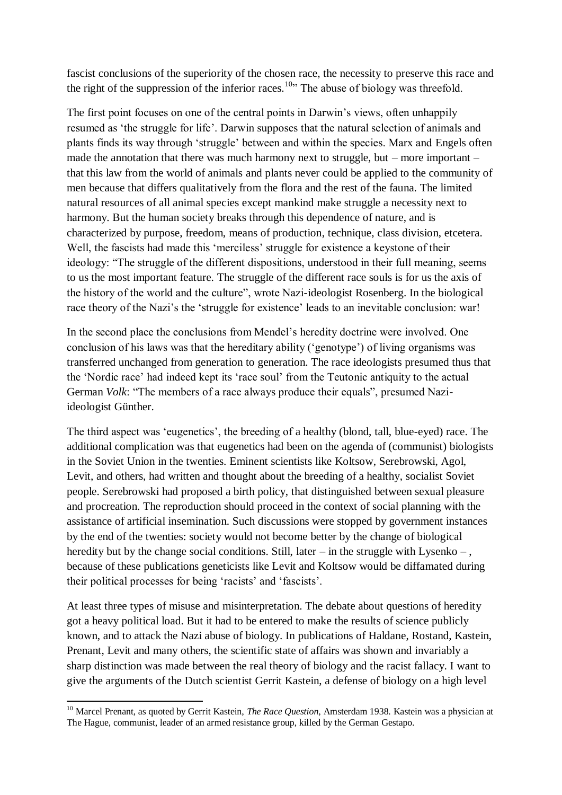fascist conclusions of the superiority of the chosen race, the necessity to preserve this race and the right of the suppression of the inferior races.<sup>10</sup> The abuse of biology was threefold.

The first point focuses on one of the central points in Darwin"s views, often unhappily resumed as "the struggle for life". Darwin supposes that the natural selection of animals and plants finds its way through "struggle" between and within the species. Marx and Engels often made the annotation that there was much harmony next to struggle, but – more important – that this law from the world of animals and plants never could be applied to the community of men because that differs qualitatively from the flora and the rest of the fauna. The limited natural resources of all animal species except mankind make struggle a necessity next to harmony. But the human society breaks through this dependence of nature, and is characterized by purpose, freedom, means of production, technique, class division, etcetera. Well, the fascists had made this 'merciless' struggle for existence a keystone of their ideology: "The struggle of the different dispositions, understood in their full meaning, seems to us the most important feature. The struggle of the different race souls is for us the axis of the history of the world and the culture", wrote Nazi-ideologist Rosenberg. In the biological race theory of the Nazi's the 'struggle for existence' leads to an inevitable conclusion: war!

In the second place the conclusions from Mendel"s heredity doctrine were involved. One conclusion of his laws was that the hereditary ability ("genotype") of living organisms was transferred unchanged from generation to generation. The race ideologists presumed thus that the "Nordic race" had indeed kept its "race soul" from the Teutonic antiquity to the actual German *Volk*: "The members of a race always produce their equals", presumed Naziideologist Günther.

The third aspect was "eugenetics", the breeding of a healthy (blond, tall, blue-eyed) race. The additional complication was that eugenetics had been on the agenda of (communist) biologists in the Soviet Union in the twenties. Eminent scientists like Koltsow, Serebrowski, Agol, Levit, and others, had written and thought about the breeding of a healthy, socialist Soviet people. Serebrowski had proposed a birth policy, that distinguished between sexual pleasure and procreation. The reproduction should proceed in the context of social planning with the assistance of artificial insemination. Such discussions were stopped by government instances by the end of the twenties: society would not become better by the change of biological heredity but by the change social conditions. Still, later – in the struggle with Lysenko – , because of these publications geneticists like Levit and Koltsow would be diffamated during their political processes for being "racists" and "fascists".

At least three types of misuse and misinterpretation. The debate about questions of heredity got a heavy political load. But it had to be entered to make the results of science publicly known, and to attack the Nazi abuse of biology. In publications of Haldane, Rostand, Kastein, Prenant, Levit and many others, the scientific state of affairs was shown and invariably a sharp distinction was made between the real theory of biology and the racist fallacy. I want to give the arguments of the Dutch scientist Gerrit Kastein, a defense of biology on a high level

1

<sup>&</sup>lt;sup>10</sup> Marcel Prenant, as quoted by Gerrit Kastein, *The Race Question*, Amsterdam 1938. Kastein was a physician at The Hague, communist, leader of an armed resistance group, killed by the German Gestapo.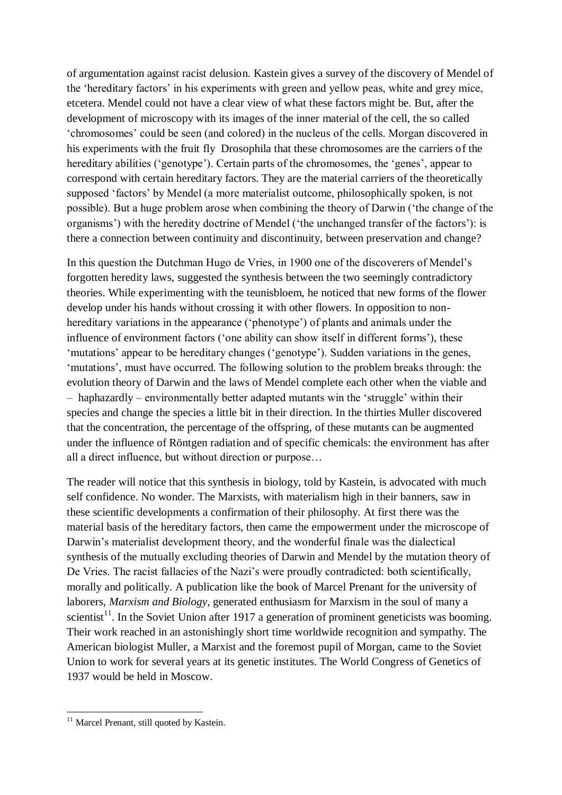of argumentation against racist delusion. Kastein gives a survey of the discovery of Mendel of the 'hereditary factors' in his experiments with green and yellow peas, white and grey mice, etcetera. Mendel could not have a clear view of what these factors might be. But, after the development of microscopy with its images of the inner material of the cell, the so called "chromosomes" could be seen (and colored) in the nucleus of the cells. Morgan discovered in his experiments with the fruit fly Drosophila that these chromosomes are the carriers of the hereditary abilities ('genotype'). Certain parts of the chromosomes, the 'genes', appear to correspond with certain hereditary factors. They are the material carriers of the theoretically supposed 'factors' by Mendel (a more materialist outcome, philosophically spoken, is not possible). But a huge problem arose when combining the theory of Darwin ("the change of the organisms") with the heredity doctrine of Mendel ("the unchanged transfer of the factors"): is there a connection between continuity and discontinuity, between preservation and change?

In this question the Dutchman Hugo de Vries, in 1900 one of the discoverers of Mendel"s forgotten heredity laws, suggested the synthesis between the two seemingly contradictory theories. While experimenting with the teunisbloem, he noticed that new forms of the flower develop under his hands without crossing it with other flowers. In opposition to nonhereditary variations in the appearance ('phenotype') of plants and animals under the influence of environment factors ("one ability can show itself in different forms"), these 'mutations' appear to be hereditary changes ('genotype'). Sudden variations in the genes, "mutations", must have occurred. The following solution to the problem breaks through: the evolution theory of Darwin and the laws of Mendel complete each other when the viable and – haphazardly – environmentally better adapted mutants win the "struggle" within their species and change the species a little bit in their direction. In the thirties Muller discovered that the concentration, the percentage of the offspring, of these mutants can be augmented under the influence of Röntgen radiation and of specific chemicals: the environment has after all a direct influence, but without direction or purpose…

The reader will notice that this synthesis in biology, told by Kastein, is advocated with much self confidence. No wonder. The Marxists, with materialism high in their banners, saw in these scientific developments a confirmation of their philosophy. At first there was the material basis of the hereditary factors, then came the empowerment under the microscope of Darwin"s materialist development theory, and the wonderful finale was the dialectical synthesis of the mutually excluding theories of Darwin and Mendel by the mutation theory of De Vries. The racist fallacies of the Nazi's were proudly contradicted: both scientifically, morally and politically. A publication like the book of Marcel Prenant for the university of laborers, *Marxism and Biology*, generated enthusiasm for Marxism in the soul of many a scientist<sup>11</sup>. In the Soviet Union after 1917 a generation of prominent geneticists was booming. Their work reached in an astonishingly short time worldwide recognition and sympathy. The American biologist Muller, a Marxist and the foremost pupil of Morgan, came to the Soviet Union to work for several years at its genetic institutes. The World Congress of Genetics of 1937 would be held in Moscow.

**<sup>.</sup>**  $11$  Marcel Prenant, still quoted by Kastein.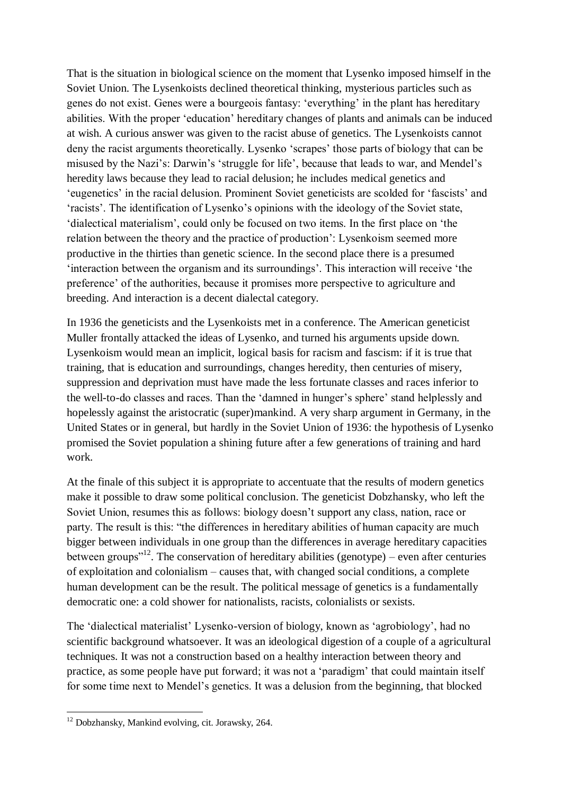That is the situation in biological science on the moment that Lysenko imposed himself in the Soviet Union. The Lysenkoists declined theoretical thinking, mysterious particles such as genes do not exist. Genes were a bourgeois fantasy: "everything" in the plant has hereditary abilities. With the proper "education" hereditary changes of plants and animals can be induced at wish. A curious answer was given to the racist abuse of genetics. The Lysenkoists cannot deny the racist arguments theoretically. Lysenko "scrapes" those parts of biology that can be misused by the Nazi"s: Darwin"s "struggle for life", because that leads to war, and Mendel"s heredity laws because they lead to racial delusion; he includes medical genetics and "eugenetics" in the racial delusion. Prominent Soviet geneticists are scolded for "fascists" and "racists". The identification of Lysenko"s opinions with the ideology of the Soviet state, "dialectical materialism", could only be focused on two items. In the first place on "the relation between the theory and the practice of production": Lysenkoism seemed more productive in the thirties than genetic science. In the second place there is a presumed 'interaction between the organism and its surroundings'. This interaction will receive 'the preference" of the authorities, because it promises more perspective to agriculture and breeding. And interaction is a decent dialectal category.

In 1936 the geneticists and the Lysenkoists met in a conference. The American geneticist Muller frontally attacked the ideas of Lysenko, and turned his arguments upside down. Lysenkoism would mean an implicit, logical basis for racism and fascism: if it is true that training, that is education and surroundings, changes heredity, then centuries of misery, suppression and deprivation must have made the less fortunate classes and races inferior to the well-to-do classes and races. Than the "damned in hunger"s sphere" stand helplessly and hopelessly against the aristocratic (super)mankind. A very sharp argument in Germany, in the United States or in general, but hardly in the Soviet Union of 1936: the hypothesis of Lysenko promised the Soviet population a shining future after a few generations of training and hard work.

At the finale of this subject it is appropriate to accentuate that the results of modern genetics make it possible to draw some political conclusion. The geneticist Dobzhansky, who left the Soviet Union, resumes this as follows: biology doesn"t support any class, nation, race or party. The result is this: "the differences in hereditary abilities of human capacity are much bigger between individuals in one group than the differences in average hereditary capacities between groups<sup> $12$ </sup>. The conservation of hereditary abilities (genotype) – even after centuries of exploitation and colonialism – causes that, with changed social conditions, a complete human development can be the result. The political message of genetics is a fundamentally democratic one: a cold shower for nationalists, racists, colonialists or sexists.

The "dialectical materialist" Lysenko-version of biology, known as "agrobiology", had no scientific background whatsoever. It was an ideological digestion of a couple of a agricultural techniques. It was not a construction based on a healthy interaction between theory and practice, as some people have put forward; it was not a "paradigm" that could maintain itself for some time next to Mendel"s genetics. It was a delusion from the beginning, that blocked

**.** 

 $12$  Dobzhansky, Mankind evolving, cit. Jorawsky, 264.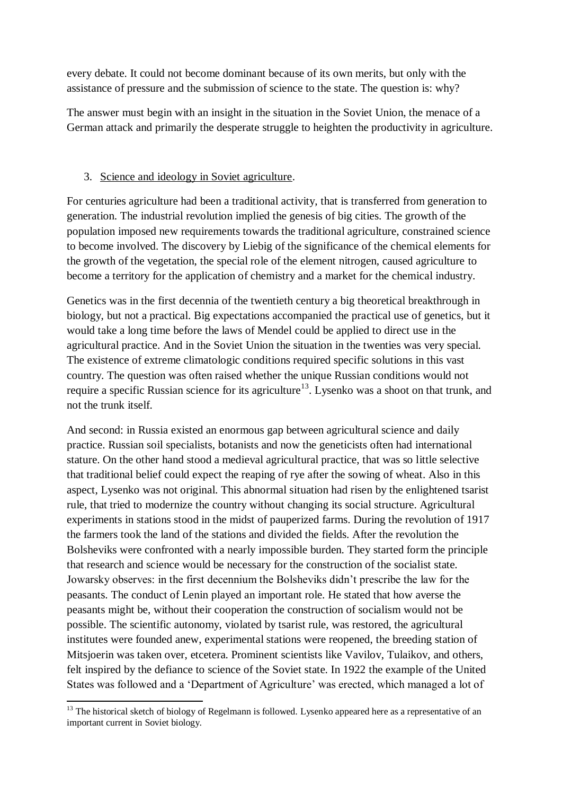every debate. It could not become dominant because of its own merits, but only with the assistance of pressure and the submission of science to the state. The question is: why?

The answer must begin with an insight in the situation in the Soviet Union, the menace of a German attack and primarily the desperate struggle to heighten the productivity in agriculture.

# 3. Science and ideology in Soviet agriculture.

For centuries agriculture had been a traditional activity, that is transferred from generation to generation. The industrial revolution implied the genesis of big cities. The growth of the population imposed new requirements towards the traditional agriculture, constrained science to become involved. The discovery by Liebig of the significance of the chemical elements for the growth of the vegetation, the special role of the element nitrogen, caused agriculture to become a territory for the application of chemistry and a market for the chemical industry.

Genetics was in the first decennia of the twentieth century a big theoretical breakthrough in biology, but not a practical. Big expectations accompanied the practical use of genetics, but it would take a long time before the laws of Mendel could be applied to direct use in the agricultural practice. And in the Soviet Union the situation in the twenties was very special. The existence of extreme climatologic conditions required specific solutions in this vast country. The question was often raised whether the unique Russian conditions would not require a specific Russian science for its agriculture<sup>13</sup>. Lysenko was a shoot on that trunk, and not the trunk itself.

And second: in Russia existed an enormous gap between agricultural science and daily practice. Russian soil specialists, botanists and now the geneticists often had international stature. On the other hand stood a medieval agricultural practice, that was so little selective that traditional belief could expect the reaping of rye after the sowing of wheat. Also in this aspect, Lysenko was not original. This abnormal situation had risen by the enlightened tsarist rule, that tried to modernize the country without changing its social structure. Agricultural experiments in stations stood in the midst of pauperized farms. During the revolution of 1917 the farmers took the land of the stations and divided the fields. After the revolution the Bolsheviks were confronted with a nearly impossible burden. They started form the principle that research and science would be necessary for the construction of the socialist state. Jowarsky observes: in the first decennium the Bolsheviks didn"t prescribe the law for the peasants. The conduct of Lenin played an important role. He stated that how averse the peasants might be, without their cooperation the construction of socialism would not be possible. The scientific autonomy, violated by tsarist rule, was restored, the agricultural institutes were founded anew, experimental stations were reopened, the breeding station of Mitsjoerin was taken over, etcetera. Prominent scientists like Vavilov, Tulaikov, and others, felt inspired by the defiance to science of the Soviet state. In 1922 the example of the United States was followed and a 'Department of Agriculture' was erected, which managed a lot of

<sup>1</sup> <sup>13</sup> The historical sketch of biology of Regelmann is followed. Lysenko appeared here as a representative of an important current in Soviet biology.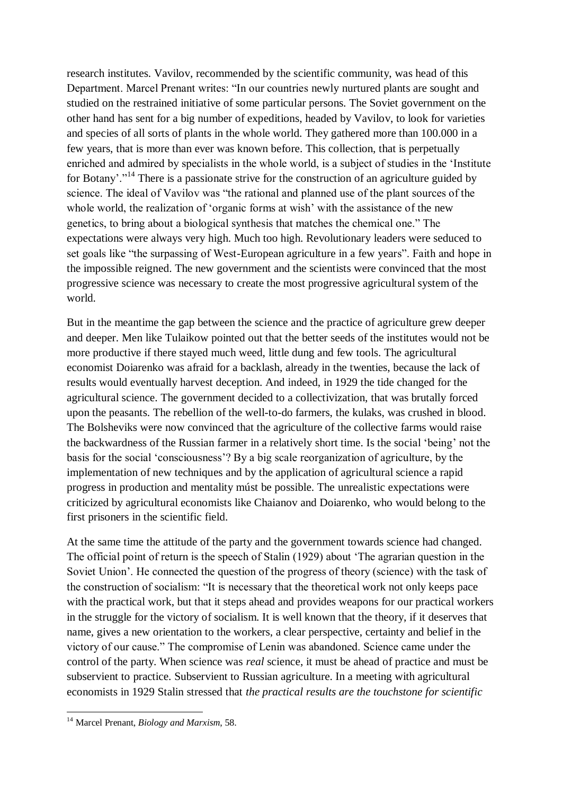research institutes. Vavilov, recommended by the scientific community, was head of this Department. Marcel Prenant writes: "In our countries newly nurtured plants are sought and studied on the restrained initiative of some particular persons. The Soviet government on the other hand has sent for a big number of expeditions, headed by Vavilov, to look for varieties and species of all sorts of plants in the whole world. They gathered more than 100.000 in a few years, that is more than ever was known before. This collection, that is perpetually enriched and admired by specialists in the whole world, is a subject of studies in the "Institute for Botany'."<sup>14</sup> There is a passionate strive for the construction of an agriculture guided by science. The ideal of Vavilov was "the rational and planned use of the plant sources of the whole world, the realization of 'organic forms at wish' with the assistance of the new genetics, to bring about a biological synthesis that matches the chemical one." The expectations were always very high. Much too high. Revolutionary leaders were seduced to set goals like "the surpassing of West-European agriculture in a few years". Faith and hope in the impossible reigned. The new government and the scientists were convinced that the most progressive science was necessary to create the most progressive agricultural system of the world.

But in the meantime the gap between the science and the practice of agriculture grew deeper and deeper. Men like Tulaikow pointed out that the better seeds of the institutes would not be more productive if there stayed much weed, little dung and few tools. The agricultural economist Doiarenko was afraid for a backlash, already in the twenties, because the lack of results would eventually harvest deception. And indeed, in 1929 the tide changed for the agricultural science. The government decided to a collectivization, that was brutally forced upon the peasants. The rebellion of the well-to-do farmers, the kulaks, was crushed in blood. The Bolsheviks were now convinced that the agriculture of the collective farms would raise the backwardness of the Russian farmer in a relatively short time. Is the social "being" not the basis for the social "consciousness"? By a big scale reorganization of agriculture, by the implementation of new techniques and by the application of agricultural science a rapid progress in production and mentality múst be possible. The unrealistic expectations were criticized by agricultural economists like Chaianov and Doiarenko, who would belong to the first prisoners in the scientific field.

At the same time the attitude of the party and the government towards science had changed. The official point of return is the speech of Stalin (1929) about "The agrarian question in the Soviet Union'. He connected the question of the progress of theory (science) with the task of the construction of socialism: "It is necessary that the theoretical work not only keeps pace with the practical work, but that it steps ahead and provides weapons for our practical workers in the struggle for the victory of socialism. It is well known that the theory, if it deserves that name, gives a new orientation to the workers, a clear perspective, certainty and belief in the victory of our cause." The compromise of Lenin was abandoned. Science came under the control of the party. When science was *real* science, it must be ahead of practice and must be subservient to practice. Subservient to Russian agriculture. In a meeting with agricultural economists in 1929 Stalin stressed that *the practical results are the touchstone for scientific* 

**.** 

<sup>14</sup> Marcel Prenant, *Biology and Marxism*, 58.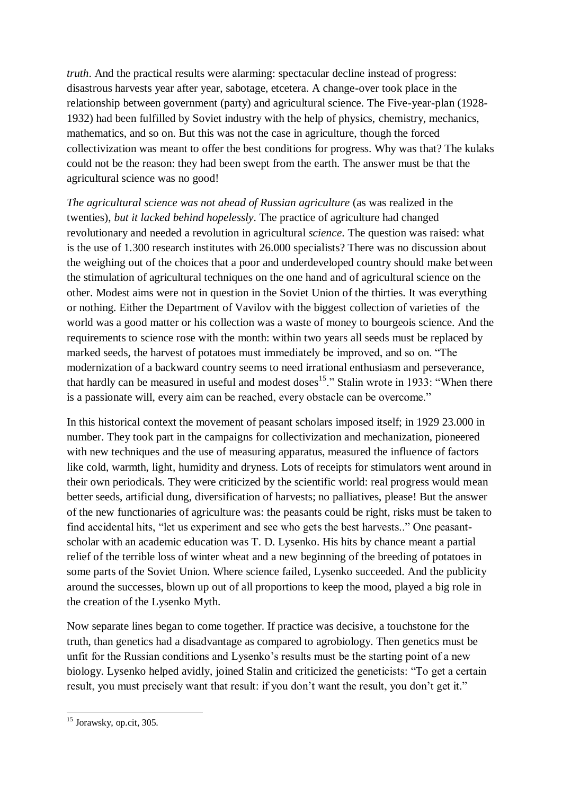*truth*. And the practical results were alarming: spectacular decline instead of progress: disastrous harvests year after year, sabotage, etcetera. A change-over took place in the relationship between government (party) and agricultural science. The Five-year-plan (1928- 1932) had been fulfilled by Soviet industry with the help of physics, chemistry, mechanics, mathematics, and so on. But this was not the case in agriculture, though the forced collectivization was meant to offer the best conditions for progress. Why was that? The kulaks could not be the reason: they had been swept from the earth. The answer must be that the agricultural science was no good!

*The agricultural science was not ahead of Russian agriculture* (as was realized in the twenties), *but it lacked behind hopelessly*. The practice of agriculture had changed revolutionary and needed a revolution in agricultural *science*. The question was raised: what is the use of 1.300 research institutes with 26.000 specialists? There was no discussion about the weighing out of the choices that a poor and underdeveloped country should make between the stimulation of agricultural techniques on the one hand and of agricultural science on the other. Modest aims were not in question in the Soviet Union of the thirties. It was everything or nothing. Either the Department of Vavilov with the biggest collection of varieties of the world was a good matter or his collection was a waste of money to bourgeois science. And the requirements to science rose with the month: within two years all seeds must be replaced by marked seeds, the harvest of potatoes must immediately be improved, and so on. "The modernization of a backward country seems to need irrational enthusiasm and perseverance, that hardly can be measured in useful and modest doses<sup>15</sup>." Stalin wrote in 1933: "When there is a passionate will, every aim can be reached, every obstacle can be overcome."

In this historical context the movement of peasant scholars imposed itself; in 1929 23.000 in number. They took part in the campaigns for collectivization and mechanization, pioneered with new techniques and the use of measuring apparatus, measured the influence of factors like cold, warmth, light, humidity and dryness. Lots of receipts for stimulators went around in their own periodicals. They were criticized by the scientific world: real progress would mean better seeds, artificial dung, diversification of harvests; no palliatives, please! But the answer of the new functionaries of agriculture was: the peasants could be right, risks must be taken to find accidental hits, "let us experiment and see who gets the best harvests.." One peasantscholar with an academic education was T. D. Lysenko. His hits by chance meant a partial relief of the terrible loss of winter wheat and a new beginning of the breeding of potatoes in some parts of the Soviet Union. Where science failed, Lysenko succeeded. And the publicity around the successes, blown up out of all proportions to keep the mood, played a big role in the creation of the Lysenko Myth.

Now separate lines began to come together. If practice was decisive, a touchstone for the truth, than genetics had a disadvantage as compared to agrobiology. Then genetics must be unfit for the Russian conditions and Lysenko's results must be the starting point of a new biology. Lysenko helped avidly, joined Stalin and criticized the geneticists: "To get a certain result, you must precisely want that result: if you don't want the result, you don't get it."

**<sup>.</sup>** <sup>15</sup> Jorawsky, op.cit, 305.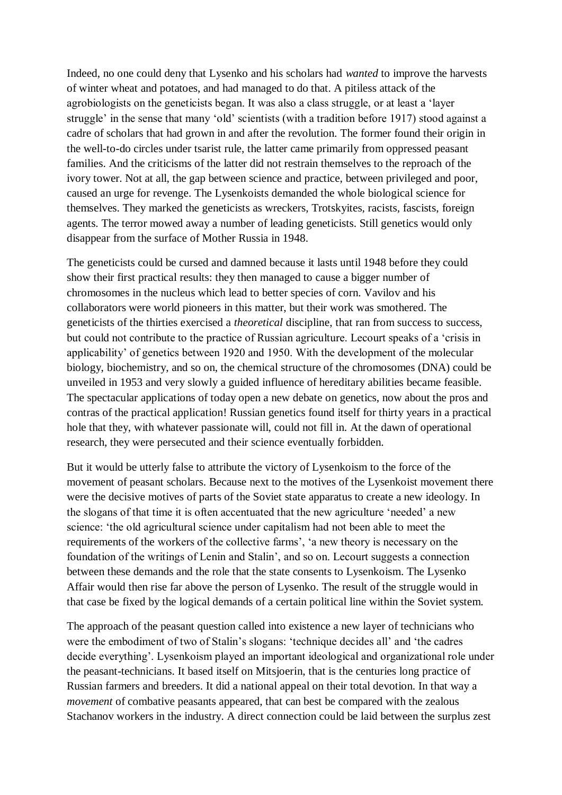Indeed, no one could deny that Lysenko and his scholars had *wanted* to improve the harvests of winter wheat and potatoes, and had managed to do that. A pitiless attack of the agrobiologists on the geneticists began. It was also a class struggle, or at least a "layer struggle' in the sense that many 'old' scientists (with a tradition before 1917) stood against a cadre of scholars that had grown in and after the revolution. The former found their origin in the well-to-do circles under tsarist rule, the latter came primarily from oppressed peasant families. And the criticisms of the latter did not restrain themselves to the reproach of the ivory tower. Not at all, the gap between science and practice, between privileged and poor, caused an urge for revenge. The Lysenkoists demanded the whole biological science for themselves. They marked the geneticists as wreckers, Trotskyites, racists, fascists, foreign agents. The terror mowed away a number of leading geneticists. Still genetics would only disappear from the surface of Mother Russia in 1948.

The geneticists could be cursed and damned because it lasts until 1948 before they could show their first practical results: they then managed to cause a bigger number of chromosomes in the nucleus which lead to better species of corn. Vavilov and his collaborators were world pioneers in this matter, but their work was smothered. The geneticists of the thirties exercised a *theoretical* discipline, that ran from success to success, but could not contribute to the practice of Russian agriculture. Lecourt speaks of a "crisis in applicability" of genetics between 1920 and 1950. With the development of the molecular biology, biochemistry, and so on, the chemical structure of the chromosomes (DNA) could be unveiled in 1953 and very slowly a guided influence of hereditary abilities became feasible. The spectacular applications of today open a new debate on genetics, now about the pros and contras of the practical application! Russian genetics found itself for thirty years in a practical hole that they, with whatever passionate will, could not fill in. At the dawn of operational research, they were persecuted and their science eventually forbidden.

But it would be utterly false to attribute the victory of Lysenkoism to the force of the movement of peasant scholars. Because next to the motives of the Lysenkoist movement there were the decisive motives of parts of the Soviet state apparatus to create a new ideology. In the slogans of that time it is often accentuated that the new agriculture "needed" a new science: "the old agricultural science under capitalism had not been able to meet the requirements of the workers of the collective farms', 'a new theory is necessary on the foundation of the writings of Lenin and Stalin", and so on. Lecourt suggests a connection between these demands and the role that the state consents to Lysenkoism. The Lysenko Affair would then rise far above the person of Lysenko. The result of the struggle would in that case be fixed by the logical demands of a certain political line within the Soviet system.

The approach of the peasant question called into existence a new layer of technicians who were the embodiment of two of Stalin's slogans: 'technique decides all' and 'the cadres decide everything'. Lysenkoism played an important ideological and organizational role under the peasant-technicians. It based itself on Mitsjoerin, that is the centuries long practice of Russian farmers and breeders. It did a national appeal on their total devotion. In that way a *movement* of combative peasants appeared, that can best be compared with the zealous Stachanov workers in the industry. A direct connection could be laid between the surplus zest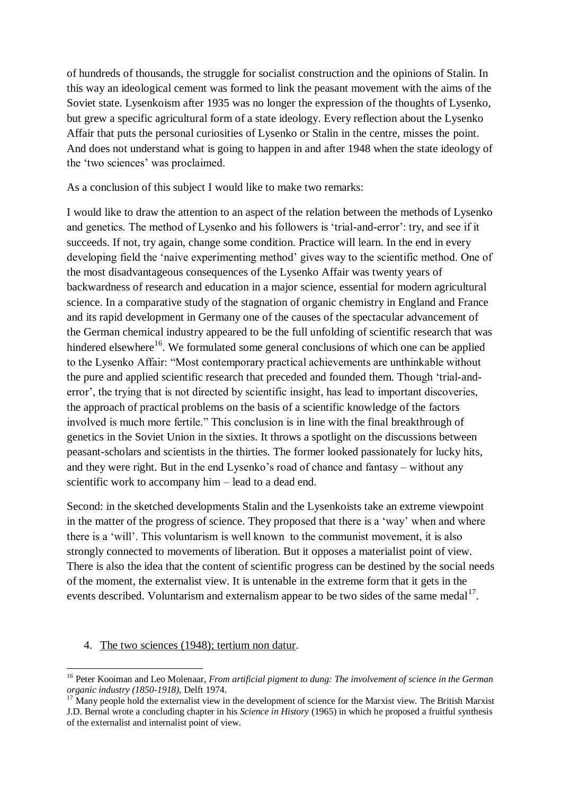of hundreds of thousands, the struggle for socialist construction and the opinions of Stalin. In this way an ideological cement was formed to link the peasant movement with the aims of the Soviet state. Lysenkoism after 1935 was no longer the expression of the thoughts of Lysenko, but grew a specific agricultural form of a state ideology. Every reflection about the Lysenko Affair that puts the personal curiosities of Lysenko or Stalin in the centre, misses the point. And does not understand what is going to happen in and after 1948 when the state ideology of the 'two sciences' was proclaimed.

As a conclusion of this subject I would like to make two remarks:

I would like to draw the attention to an aspect of the relation between the methods of Lysenko and genetics. The method of Lysenko and his followers is "trial-and-error": try, and see if it succeeds. If not, try again, change some condition. Practice will learn. In the end in every developing field the 'naive experimenting method' gives way to the scientific method. One of the most disadvantageous consequences of the Lysenko Affair was twenty years of backwardness of research and education in a major science, essential for modern agricultural science. In a comparative study of the stagnation of organic chemistry in England and France and its rapid development in Germany one of the causes of the spectacular advancement of the German chemical industry appeared to be the full unfolding of scientific research that was hindered elsewhere<sup>16</sup>. We formulated some general conclusions of which one can be applied to the Lysenko Affair: "Most contemporary practical achievements are unthinkable without the pure and applied scientific research that preceded and founded them. Though "trial-anderror', the trying that is not directed by scientific insight, has lead to important discoveries, the approach of practical problems on the basis of a scientific knowledge of the factors involved is much more fertile." This conclusion is in line with the final breakthrough of genetics in the Soviet Union in the sixties. It throws a spotlight on the discussions between peasant-scholars and scientists in the thirties. The former looked passionately for lucky hits, and they were right. But in the end Lysenko"s road of chance and fantasy – without any scientific work to accompany him – lead to a dead end.

Second: in the sketched developments Stalin and the Lysenkoists take an extreme viewpoint in the matter of the progress of science. They proposed that there is a "way" when and where there is a "will". This voluntarism is well known to the communist movement, it is also strongly connected to movements of liberation. But it opposes a materialist point of view. There is also the idea that the content of scientific progress can be destined by the social needs of the moment, the externalist view. It is untenable in the extreme form that it gets in the events described. Voluntarism and externalism appear to be two sides of the same medal<sup>17</sup>.

#### 4. The two sciences (1948); tertium non datur.

<sup>1</sup> <sup>16</sup> Peter Kooiman and Leo Molenaar, *From artificial pigment to dung: The involvement of science in the German organic industry (1850-1918)*, Delft 1974.

<sup>&</sup>lt;sup>7</sup> Many people hold the externalist view in the development of science for the Marxist view. The British Marxist J.D. Bernal wrote a concluding chapter in his *Science in History* (1965) in which he proposed a fruitful synthesis of the externalist and internalist point of view.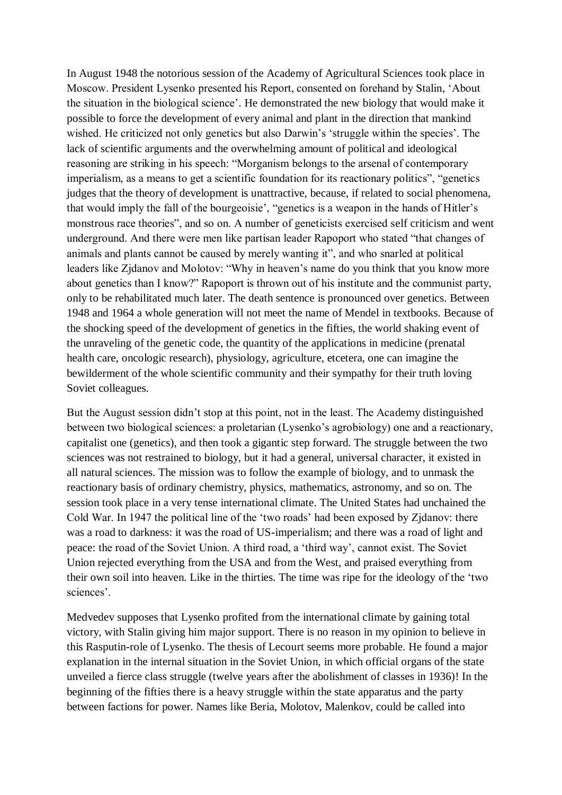In August 1948 the notorious session of the Academy of Agricultural Sciences took place in Moscow. President Lysenko presented his Report, consented on forehand by Stalin, "About the situation in the biological science". He demonstrated the new biology that would make it possible to force the development of every animal and plant in the direction that mankind wished. He criticized not only genetics but also Darwin's 'struggle within the species'. The lack of scientific arguments and the overwhelming amount of political and ideological reasoning are striking in his speech: "Morganism belongs to the arsenal of contemporary imperialism, as a means to get a scientific foundation for its reactionary politics", "genetics judges that the theory of development is unattractive, because, if related to social phenomena, that would imply the fall of the bourgeoisie", "genetics is a weapon in the hands of Hitler"s monstrous race theories", and so on. A number of geneticists exercised self criticism and went underground. And there were men like partisan leader Rapoport who stated "that changes of animals and plants cannot be caused by merely wanting it", and who snarled at political leaders like Zjdanov and Molotov: "Why in heaven's name do you think that you know more about genetics than I know?" Rapoport is thrown out of his institute and the communist party, only to be rehabilitated much later. The death sentence is pronounced over genetics. Between 1948 and 1964 a whole generation will not meet the name of Mendel in textbooks. Because of the shocking speed of the development of genetics in the fifties, the world shaking event of the unraveling of the genetic code, the quantity of the applications in medicine (prenatal health care, oncologic research), physiology, agriculture, etcetera, one can imagine the bewilderment of the whole scientific community and their sympathy for their truth loving Soviet colleagues.

But the August session didn"t stop at this point, not in the least. The Academy distinguished between two biological sciences: a proletarian (Lysenko"s agrobiology) one and a reactionary, capitalist one (genetics), and then took a gigantic step forward. The struggle between the two sciences was not restrained to biology, but it had a general, universal character, it existed in all natural sciences. The mission was to follow the example of biology, and to unmask the reactionary basis of ordinary chemistry, physics, mathematics, astronomy, and so on. The session took place in a very tense international climate. The United States had unchained the Cold War. In 1947 the political line of the "two roads" had been exposed by Zjdanov: there was a road to darkness: it was the road of US-imperialism; and there was a road of light and peace: the road of the Soviet Union. A third road, a "third way", cannot exist. The Soviet Union rejected everything from the USA and from the West, and praised everything from their own soil into heaven. Like in the thirties. The time was ripe for the ideology of the "two sciences'.

Medvedev supposes that Lysenko profited from the international climate by gaining total victory, with Stalin giving him major support. There is no reason in my opinion to believe in this Rasputin-role of Lysenko. The thesis of Lecourt seems more probable. He found a major explanation in the internal situation in the Soviet Union, in which official organs of the state unveiled a fierce class struggle (twelve years after the abolishment of classes in 1936)! In the beginning of the fifties there is a heavy struggle within the state apparatus and the party between factions for power. Names like Beria, Molotov, Malenkov, could be called into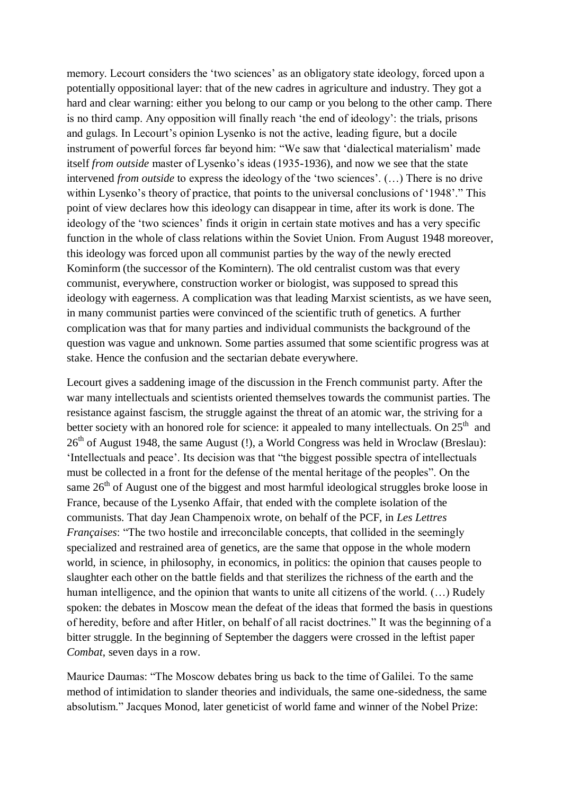memory. Lecourt considers the 'two sciences' as an obligatory state ideology, forced upon a potentially oppositional layer: that of the new cadres in agriculture and industry. They got a hard and clear warning: either you belong to our camp or you belong to the other camp. There is no third camp. Any opposition will finally reach "the end of ideology": the trials, prisons and gulags. In Lecourt's opinion Lysenko is not the active, leading figure, but a docile instrument of powerful forces far beyond him: "We saw that "dialectical materialism" made itself *from outside* master of Lysenko's ideas (1935-1936), and now we see that the state intervened *from outside* to express the ideology of the 'two sciences'. (...) There is no drive within Lysenko's theory of practice, that points to the universal conclusions of '1948'." This point of view declares how this ideology can disappear in time, after its work is done. The ideology of the 'two sciences' finds it origin in certain state motives and has a very specific function in the whole of class relations within the Soviet Union. From August 1948 moreover, this ideology was forced upon all communist parties by the way of the newly erected Kominform (the successor of the Komintern). The old centralist custom was that every communist, everywhere, construction worker or biologist, was supposed to spread this ideology with eagerness. A complication was that leading Marxist scientists, as we have seen, in many communist parties were convinced of the scientific truth of genetics. A further complication was that for many parties and individual communists the background of the question was vague and unknown. Some parties assumed that some scientific progress was at stake. Hence the confusion and the sectarian debate everywhere.

Lecourt gives a saddening image of the discussion in the French communist party. After the war many intellectuals and scientists oriented themselves towards the communist parties. The resistance against fascism, the struggle against the threat of an atomic war, the striving for a better society with an honored role for science: it appealed to many intellectuals. On  $25<sup>th</sup>$  and 26<sup>th</sup> of August 1948, the same August (!), a World Congress was held in Wroclaw (Breslau): "Intellectuals and peace". Its decision was that "the biggest possible spectra of intellectuals must be collected in a front for the defense of the mental heritage of the peoples". On the same  $26<sup>th</sup>$  of August one of the biggest and most harmful ideological struggles broke loose in France, because of the Lysenko Affair, that ended with the complete isolation of the communists. That day Jean Champenoix wrote, on behalf of the PCF, in *Les Lettres Françaises*: "The two hostile and irreconcilable concepts, that collided in the seemingly specialized and restrained area of genetics, are the same that oppose in the whole modern world, in science, in philosophy, in economics, in politics: the opinion that causes people to slaughter each other on the battle fields and that sterilizes the richness of the earth and the human intelligence, and the opinion that wants to unite all citizens of the world.  $(...)$  Rudely spoken: the debates in Moscow mean the defeat of the ideas that formed the basis in questions of heredity, before and after Hitler, on behalf of all racist doctrines." It was the beginning of a bitter struggle. In the beginning of September the daggers were crossed in the leftist paper *Combat*, seven days in a row.

Maurice Daumas: "The Moscow debates bring us back to the time of Galilei. To the same method of intimidation to slander theories and individuals, the same one-sidedness, the same absolutism." Jacques Monod, later geneticist of world fame and winner of the Nobel Prize: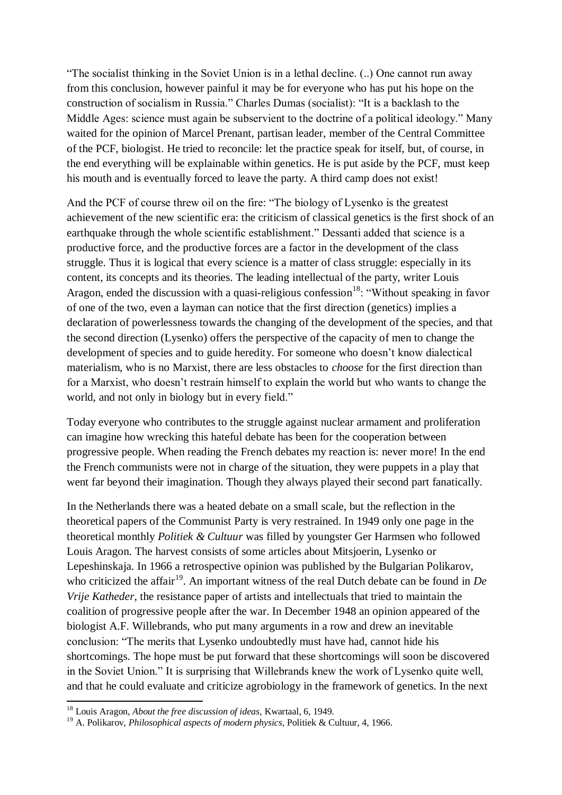"The socialist thinking in the Soviet Union is in a lethal decline. (..) One cannot run away from this conclusion, however painful it may be for everyone who has put his hope on the construction of socialism in Russia." Charles Dumas (socialist): "It is a backlash to the Middle Ages: science must again be subservient to the doctrine of a political ideology." Many waited for the opinion of Marcel Prenant, partisan leader, member of the Central Committee of the PCF, biologist. He tried to reconcile: let the practice speak for itself, but, of course, in the end everything will be explainable within genetics. He is put aside by the PCF, must keep his mouth and is eventually forced to leave the party. A third camp does not exist!

And the PCF of course threw oil on the fire: "The biology of Lysenko is the greatest achievement of the new scientific era: the criticism of classical genetics is the first shock of an earthquake through the whole scientific establishment." Dessanti added that science is a productive force, and the productive forces are a factor in the development of the class struggle. Thus it is logical that every science is a matter of class struggle: especially in its content, its concepts and its theories. The leading intellectual of the party, writer Louis Aragon, ended the discussion with a quasi-religious confession<sup>18</sup>: "Without speaking in favor of one of the two, even a layman can notice that the first direction (genetics) implies a declaration of powerlessness towards the changing of the development of the species, and that the second direction (Lysenko) offers the perspective of the capacity of men to change the development of species and to guide heredity. For someone who doesn"t know dialectical materialism, who is no Marxist, there are less obstacles to *choose* for the first direction than for a Marxist, who doesn"t restrain himself to explain the world but who wants to change the world, and not only in biology but in every field."

Today everyone who contributes to the struggle against nuclear armament and proliferation can imagine how wrecking this hateful debate has been for the cooperation between progressive people. When reading the French debates my reaction is: never more! In the end the French communists were not in charge of the situation, they were puppets in a play that went far beyond their imagination. Though they always played their second part fanatically.

In the Netherlands there was a heated debate on a small scale, but the reflection in the theoretical papers of the Communist Party is very restrained. In 1949 only one page in the theoretical monthly *Politiek & Cultuur* was filled by youngster Ger Harmsen who followed Louis Aragon. The harvest consists of some articles about Mitsjoerin, Lysenko or Lepeshinskaja. In 1966 a retrospective opinion was published by the Bulgarian Polikarov, who criticized the affair<sup>19</sup>. An important witness of the real Dutch debate can be found in *De Vrije Katheder*, the resistance paper of artists and intellectuals that tried to maintain the coalition of progressive people after the war. In December 1948 an opinion appeared of the biologist A.F. Willebrands, who put many arguments in a row and drew an inevitable conclusion: "The merits that Lysenko undoubtedly must have had, cannot hide his shortcomings. The hope must be put forward that these shortcomings will soon be discovered in the Soviet Union." It is surprising that Willebrands knew the work of Lysenko quite well, and that he could evaluate and criticize agrobiology in the framework of genetics. In the next

<sup>1</sup> <sup>18</sup> Louis Aragon, *About the free discussion of ideas*, Kwartaal, 6, 1949.

<sup>19</sup> A. Polikarov, *Philosophical aspects of modern physics*, Politiek & Cultuur, 4, 1966.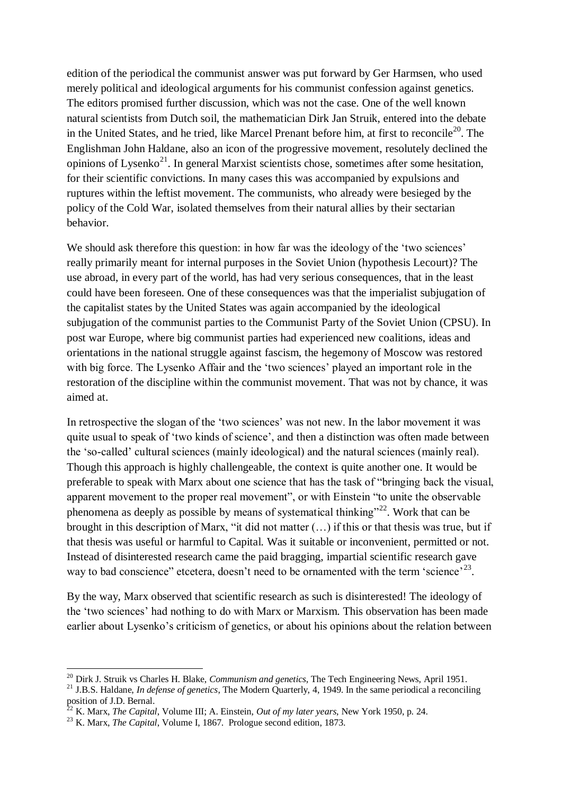edition of the periodical the communist answer was put forward by Ger Harmsen, who used merely political and ideological arguments for his communist confession against genetics. The editors promised further discussion, which was not the case. One of the well known natural scientists from Dutch soil, the mathematician Dirk Jan Struik, entered into the debate in the United States, and he tried, like Marcel Prenant before him, at first to reconcile<sup>20</sup>. The Englishman John Haldane, also an icon of the progressive movement, resolutely declined the opinions of Lysenko<sup>21</sup>. In general Marxist scientists chose, sometimes after some hesitation, for their scientific convictions. In many cases this was accompanied by expulsions and ruptures within the leftist movement. The communists, who already were besieged by the policy of the Cold War, isolated themselves from their natural allies by their sectarian behavior.

We should ask therefore this question: in how far was the ideology of the 'two sciences' really primarily meant for internal purposes in the Soviet Union (hypothesis Lecourt)? The use abroad, in every part of the world, has had very serious consequences, that in the least could have been foreseen. One of these consequences was that the imperialist subjugation of the capitalist states by the United States was again accompanied by the ideological subjugation of the communist parties to the Communist Party of the Soviet Union (CPSU). In post war Europe, where big communist parties had experienced new coalitions, ideas and orientations in the national struggle against fascism, the hegemony of Moscow was restored with big force. The Lysenko Affair and the 'two sciences' played an important role in the restoration of the discipline within the communist movement. That was not by chance, it was aimed at.

In retrospective the slogan of the 'two sciences' was not new. In the labor movement it was quite usual to speak of "two kinds of science", and then a distinction was often made between the "so-called" cultural sciences (mainly ideological) and the natural sciences (mainly real). Though this approach is highly challengeable, the context is quite another one. It would be preferable to speak with Marx about one science that has the task of "bringing back the visual, apparent movement to the proper real movement", or with Einstein "to unite the observable phenomena as deeply as possible by means of systematical thinking"<sup>22</sup>. Work that can be brought in this description of Marx, "it did not matter (…) if this or that thesis was true, but if that thesis was useful or harmful to Capital. Was it suitable or inconvenient, permitted or not. Instead of disinterested research came the paid bragging, impartial scientific research gave way to bad conscience" etcetera, doesn't need to be ornamented with the term 'science'<sup>23</sup>.

By the way, Marx observed that scientific research as such is disinterested! The ideology of the "two sciences" had nothing to do with Marx or Marxism. This observation has been made earlier about Lysenko's criticism of genetics, or about his opinions about the relation between

1

<sup>20</sup> Dirk J. Struik vs Charles H. Blake, *Communism and genetics*, The Tech Engineering News, April 1951.

<sup>&</sup>lt;sup>21</sup> J.B.S. Haldane, *In defense of genetics*, The Modern Quarterly, 4, 1949. In the same periodical a reconciling position of J.D. Bernal.

 $^{2}$  K. Marx, *The Capital*, Volume III; A. Einstein, *Out of my later years*, New York 1950, p. 24.

<sup>23</sup> K. Marx, *The Capital*, Volume I, 1867. Prologue second edition, 1873.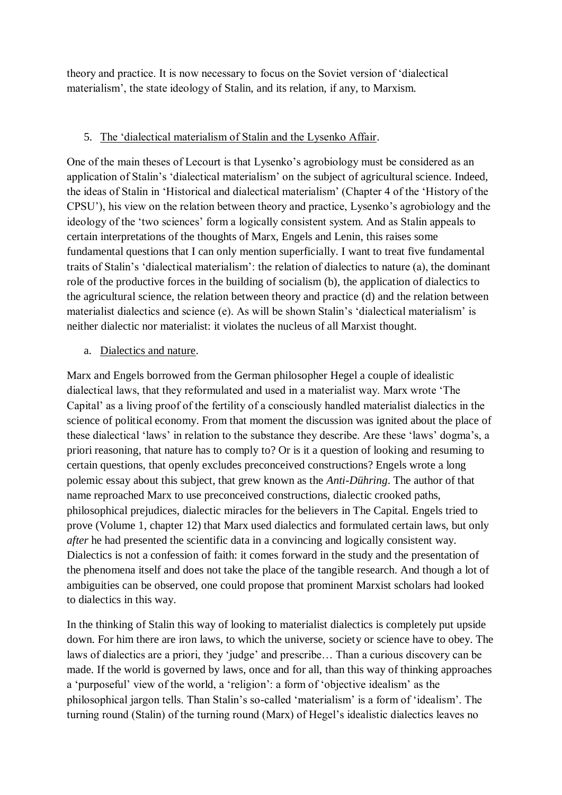theory and practice. It is now necessary to focus on the Soviet version of "dialectical materialism", the state ideology of Stalin, and its relation, if any, to Marxism.

## 5. The "dialectical materialism of Stalin and the Lysenko Affair.

One of the main theses of Lecourt is that Lysenko"s agrobiology must be considered as an application of Stalin"s "dialectical materialism" on the subject of agricultural science. Indeed, the ideas of Stalin in "Historical and dialectical materialism" (Chapter 4 of the "History of the CPSU"), his view on the relation between theory and practice, Lysenko"s agrobiology and the ideology of the 'two sciences' form a logically consistent system. And as Stalin appeals to certain interpretations of the thoughts of Marx, Engels and Lenin, this raises some fundamental questions that I can only mention superficially. I want to treat five fundamental traits of Stalin"s "dialectical materialism": the relation of dialectics to nature (a), the dominant role of the productive forces in the building of socialism (b), the application of dialectics to the agricultural science, the relation between theory and practice (d) and the relation between materialist dialectics and science (e). As will be shown Stalin's 'dialectical materialism' is neither dialectic nor materialist: it violates the nucleus of all Marxist thought.

### a. Dialectics and nature.

Marx and Engels borrowed from the German philosopher Hegel a couple of idealistic dialectical laws, that they reformulated and used in a materialist way. Marx wrote "The Capital" as a living proof of the fertility of a consciously handled materialist dialectics in the science of political economy. From that moment the discussion was ignited about the place of these dialectical "laws" in relation to the substance they describe. Are these "laws" dogma"s, a priori reasoning, that nature has to comply to? Or is it a question of looking and resuming to certain questions, that openly excludes preconceived constructions? Engels wrote a long polemic essay about this subject, that grew known as the *Anti-Dühring*. The author of that name reproached Marx to use preconceived constructions, dialectic crooked paths, philosophical prejudices, dialectic miracles for the believers in The Capital. Engels tried to prove (Volume 1, chapter 12) that Marx used dialectics and formulated certain laws, but only *after* he had presented the scientific data in a convincing and logically consistent way. Dialectics is not a confession of faith: it comes forward in the study and the presentation of the phenomena itself and does not take the place of the tangible research. And though a lot of ambiguities can be observed, one could propose that prominent Marxist scholars had looked to dialectics in this way.

In the thinking of Stalin this way of looking to materialist dialectics is completely put upside down. For him there are iron laws, to which the universe, society or science have to obey. The laws of dialectics are a priori, they "judge" and prescribe… Than a curious discovery can be made. If the world is governed by laws, once and for all, than this way of thinking approaches a "purposeful" view of the world, a "religion": a form of "objective idealism" as the philosophical jargon tells. Than Stalin"s so-called "materialism" is a form of "idealism". The turning round (Stalin) of the turning round (Marx) of Hegel"s idealistic dialectics leaves no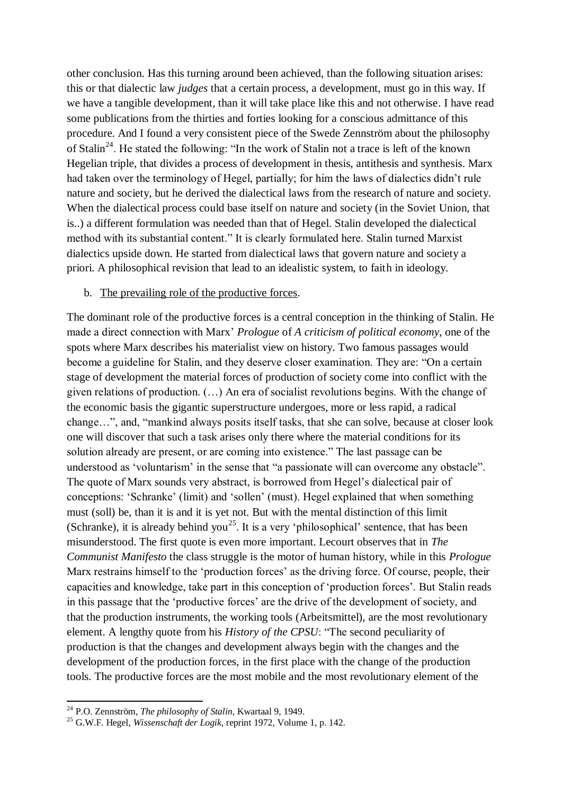other conclusion. Has this turning around been achieved, than the following situation arises: this or that dialectic law *judges* that a certain process, a development, must go in this way. If we have a tangible development, than it will take place like this and not otherwise. I have read some publications from the thirties and forties looking for a conscious admittance of this procedure. And I found a very consistent piece of the Swede Zennström about the philosophy of Stalin<sup>24</sup>. He stated the following: "In the work of Stalin not a trace is left of the known Hegelian triple, that divides a process of development in thesis, antithesis and synthesis. Marx had taken over the terminology of Hegel, partially; for him the laws of dialectics didn"t rule nature and society, but he derived the dialectical laws from the research of nature and society. When the dialectical process could base itself on nature and society (in the Soviet Union, that is..) a different formulation was needed than that of Hegel. Stalin developed the dialectical method with its substantial content." It is clearly formulated here. Stalin turned Marxist dialectics upside down. He started from dialectical laws that govern nature and society a priori. A philosophical revision that lead to an idealistic system, to faith in ideology.

#### b. The prevailing role of the productive forces.

The dominant role of the productive forces is a central conception in the thinking of Stalin. He made a direct connection with Marx" *Prologue* of *A criticism of political economy*, one of the spots where Marx describes his materialist view on history. Two famous passages would become a guideline for Stalin, and they deserve closer examination. They are: "On a certain stage of development the material forces of production of society come into conflict with the given relations of production. (…) An era of socialist revolutions begins. With the change of the economic basis the gigantic superstructure undergoes, more or less rapid, a radical change…", and, "mankind always posits itself tasks, that she can solve, because at closer look one will discover that such a task arises only there where the material conditions for its solution already are present, or are coming into existence." The last passage can be understood as 'voluntarism' in the sense that "a passionate will can overcome any obstacle". The quote of Marx sounds very abstract, is borrowed from Hegel"s dialectical pair of conceptions: "Schranke" (limit) and "sollen" (must). Hegel explained that when something must (soll) be, than it is and it is yet not. But with the mental distinction of this limit (Schranke), it is already behind you<sup>25</sup>. It is a very 'philosophical' sentence, that has been misunderstood. The first quote is even more important. Lecourt observes that in *The Communist Manifesto* the class struggle is the motor of human history, while in this *Prologue* Marx restrains himself to the 'production forces' as the driving force. Of course, people, their capacities and knowledge, take part in this conception of "production forces". But Stalin reads in this passage that the 'productive forces' are the drive of the development of society, and that the production instruments, the working tools (Arbeitsmittel), are the most revolutionary element. A lengthy quote from his *History of the CPSU*: "The second peculiarity of production is that the changes and development always begin with the changes and the development of the production forces, in the first place with the change of the production tools. The productive forces are the most mobile and the most revolutionary element of the

1

<sup>24</sup> P.O. Zennström, *The philosophy of Stalin*, Kwartaal 9, 1949.

<sup>25</sup> G.W.F. Hegel, *Wissenschaft der Logik*, reprint 1972, Volume 1, p. 142.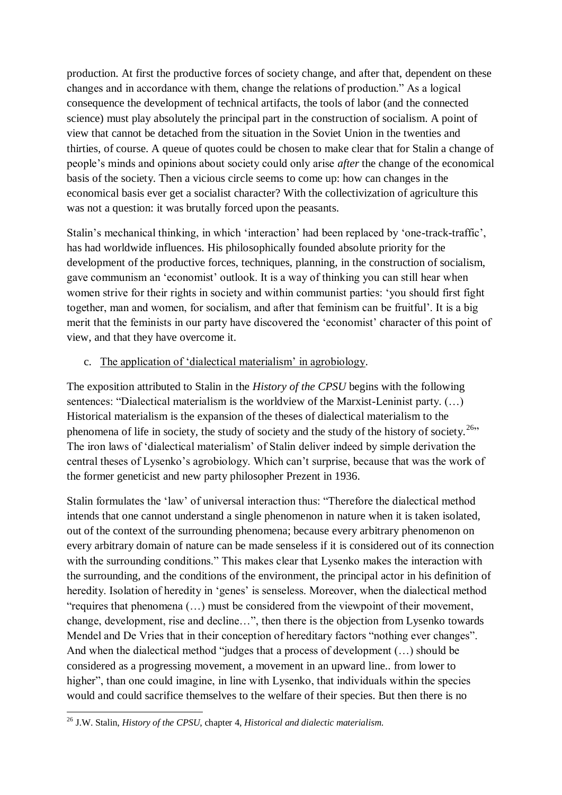production. At first the productive forces of society change, and after that, dependent on these changes and in accordance with them, change the relations of production." As a logical consequence the development of technical artifacts, the tools of labor (and the connected science) must play absolutely the principal part in the construction of socialism. A point of view that cannot be detached from the situation in the Soviet Union in the twenties and thirties, of course. A queue of quotes could be chosen to make clear that for Stalin a change of people"s minds and opinions about society could only arise *after* the change of the economical basis of the society. Then a vicious circle seems to come up: how can changes in the economical basis ever get a socialist character? With the collectivization of agriculture this was not a question: it was brutally forced upon the peasants.

Stalin's mechanical thinking, in which 'interaction' had been replaced by 'one-track-traffic', has had worldwide influences. His philosophically founded absolute priority for the development of the productive forces, techniques, planning, in the construction of socialism, gave communism an "economist" outlook. It is a way of thinking you can still hear when women strive for their rights in society and within communist parties: "you should first fight together, man and women, for socialism, and after that feminism can be fruitful". It is a big merit that the feminists in our party have discovered the 'economist' character of this point of view, and that they have overcome it.

# c. The application of "dialectical materialism" in agrobiology.

The exposition attributed to Stalin in the *History of the CPSU* begins with the following sentences: "Dialectical materialism is the worldview of the Marxist-Leninist party. (…) Historical materialism is the expansion of the theses of dialectical materialism to the phenomena of life in society, the study of society and the study of the history of society.<sup>26</sup>" The iron laws of "dialectical materialism" of Stalin deliver indeed by simple derivation the central theses of Lysenko"s agrobiology. Which can"t surprise, because that was the work of the former geneticist and new party philosopher Prezent in 1936.

Stalin formulates the "law" of universal interaction thus: "Therefore the dialectical method intends that one cannot understand a single phenomenon in nature when it is taken isolated, out of the context of the surrounding phenomena; because every arbitrary phenomenon on every arbitrary domain of nature can be made senseless if it is considered out of its connection with the surrounding conditions." This makes clear that Lysenko makes the interaction with the surrounding, and the conditions of the environment, the principal actor in his definition of heredity. Isolation of heredity in 'genes' is senseless. Moreover, when the dialectical method "requires that phenomena (…) must be considered from the viewpoint of their movement, change, development, rise and decline…", then there is the objection from Lysenko towards Mendel and De Vries that in their conception of hereditary factors "nothing ever changes". And when the dialectical method "judges that a process of development (…) should be considered as a progressing movement, a movement in an upward line.. from lower to higher", than one could imagine, in line with Lysenko, that individuals within the species would and could sacrifice themselves to the welfare of their species. But then there is no

**<sup>.</sup>** <sup>26</sup> J.W. Stalin, *History of the CPSU*, chapter 4, *Historical and dialectic materialism*.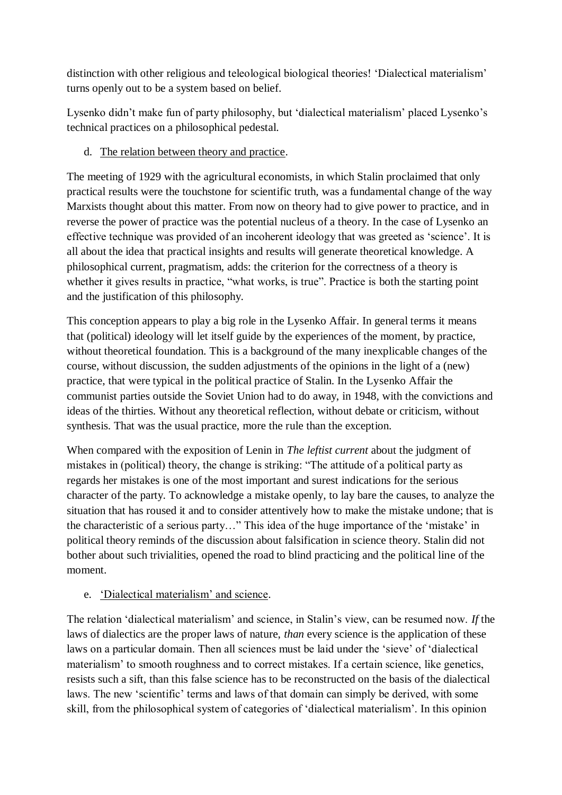distinction with other religious and teleological biological theories! "Dialectical materialism" turns openly out to be a system based on belief.

Lysenko didn"t make fun of party philosophy, but "dialectical materialism" placed Lysenko"s technical practices on a philosophical pedestal.

d. The relation between theory and practice.

The meeting of 1929 with the agricultural economists, in which Stalin proclaimed that only practical results were the touchstone for scientific truth, was a fundamental change of the way Marxists thought about this matter. From now on theory had to give power to practice, and in reverse the power of practice was the potential nucleus of a theory. In the case of Lysenko an effective technique was provided of an incoherent ideology that was greeted as "science". It is all about the idea that practical insights and results will generate theoretical knowledge. A philosophical current, pragmatism, adds: the criterion for the correctness of a theory is whether it gives results in practice, "what works, is true". Practice is both the starting point and the justification of this philosophy.

This conception appears to play a big role in the Lysenko Affair. In general terms it means that (political) ideology will let itself guide by the experiences of the moment, by practice, without theoretical foundation. This is a background of the many inexplicable changes of the course, without discussion, the sudden adjustments of the opinions in the light of a (new) practice, that were typical in the political practice of Stalin. In the Lysenko Affair the communist parties outside the Soviet Union had to do away, in 1948, with the convictions and ideas of the thirties. Without any theoretical reflection, without debate or criticism, without synthesis. That was the usual practice, more the rule than the exception.

When compared with the exposition of Lenin in *The leftist current* about the judgment of mistakes in (political) theory, the change is striking: "The attitude of a political party as regards her mistakes is one of the most important and surest indications for the serious character of the party. To acknowledge a mistake openly, to lay bare the causes, to analyze the situation that has roused it and to consider attentively how to make the mistake undone; that is the characteristic of a serious party…" This idea of the huge importance of the "mistake" in political theory reminds of the discussion about falsification in science theory. Stalin did not bother about such trivialities, opened the road to blind practicing and the political line of the moment.

e. "Dialectical materialism" and science.

The relation "dialectical materialism" and science, in Stalin"s view, can be resumed now. *If* the laws of dialectics are the proper laws of nature, *than* every science is the application of these laws on a particular domain. Then all sciences must be laid under the "sieve" of "dialectical materialism' to smooth roughness and to correct mistakes. If a certain science, like genetics, resists such a sift, than this false science has to be reconstructed on the basis of the dialectical laws. The new "scientific" terms and laws of that domain can simply be derived, with some skill, from the philosophical system of categories of "dialectical materialism". In this opinion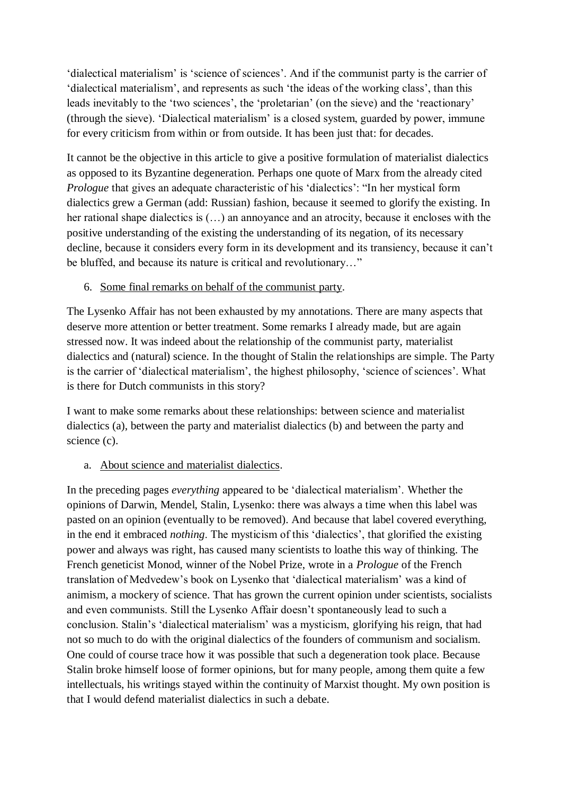'dialectical materialism' is 'science of sciences'. And if the communist party is the carrier of 'dialectical materialism', and represents as such 'the ideas of the working class', than this leads inevitably to the 'two sciences', the 'proletarian' (on the sieve) and the 'reactionary' (through the sieve). "Dialectical materialism" is a closed system, guarded by power, immune for every criticism from within or from outside. It has been just that: for decades.

It cannot be the objective in this article to give a positive formulation of materialist dialectics as opposed to its Byzantine degeneration. Perhaps one quote of Marx from the already cited *Prologue* that gives an adequate characteristic of his 'dialectics': "In her mystical form dialectics grew a German (add: Russian) fashion, because it seemed to glorify the existing. In her rational shape dialectics is (…) an annoyance and an atrocity, because it encloses with the positive understanding of the existing the understanding of its negation, of its necessary decline, because it considers every form in its development and its transiency, because it can"t be bluffed, and because its nature is critical and revolutionary…"

# 6. Some final remarks on behalf of the communist party.

The Lysenko Affair has not been exhausted by my annotations. There are many aspects that deserve more attention or better treatment. Some remarks I already made, but are again stressed now. It was indeed about the relationship of the communist party, materialist dialectics and (natural) science. In the thought of Stalin the relationships are simple. The Party is the carrier of 'dialectical materialism', the highest philosophy, 'science of sciences'. What is there for Dutch communists in this story?

I want to make some remarks about these relationships: between science and materialist dialectics (a), between the party and materialist dialectics (b) and between the party and science (c).

### a. About science and materialist dialectics.

In the preceding pages *everything* appeared to be "dialectical materialism". Whether the opinions of Darwin, Mendel, Stalin, Lysenko: there was always a time when this label was pasted on an opinion (eventually to be removed). And because that label covered everything, in the end it embraced *nothing*. The mysticism of this "dialectics", that glorified the existing power and always was right, has caused many scientists to loathe this way of thinking. The French geneticist Monod, winner of the Nobel Prize, wrote in a *Prologue* of the French translation of Medvedew"s book on Lysenko that "dialectical materialism" was a kind of animism, a mockery of science. That has grown the current opinion under scientists, socialists and even communists. Still the Lysenko Affair doesn"t spontaneously lead to such a conclusion. Stalin"s "dialectical materialism" was a mysticism, glorifying his reign, that had not so much to do with the original dialectics of the founders of communism and socialism. One could of course trace how it was possible that such a degeneration took place. Because Stalin broke himself loose of former opinions, but for many people, among them quite a few intellectuals, his writings stayed within the continuity of Marxist thought. My own position is that I would defend materialist dialectics in such a debate.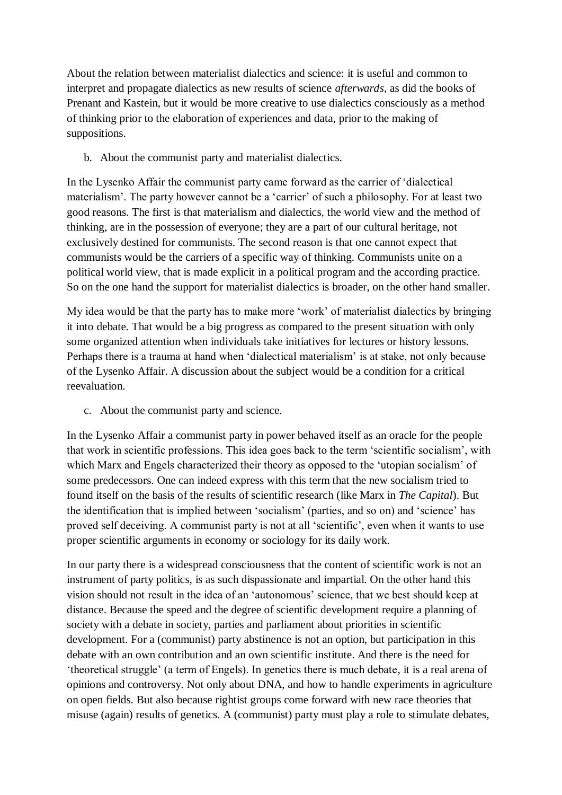About the relation between materialist dialectics and science: it is useful and common to interpret and propagate dialectics as new results of science *afterwards*, as did the books of Prenant and Kastein, but it would be more creative to use dialectics consciously as a method of thinking prior to the elaboration of experiences and data, prior to the making of suppositions.

b. About the communist party and materialist dialectics.

In the Lysenko Affair the communist party came forward as the carrier of "dialectical materialism'. The party however cannot be a 'carrier' of such a philosophy. For at least two good reasons. The first is that materialism and dialectics, the world view and the method of thinking, are in the possession of everyone; they are a part of our cultural heritage, not exclusively destined for communists. The second reason is that one cannot expect that communists would be the carriers of a specific way of thinking. Communists unite on a political world view, that is made explicit in a political program and the according practice. So on the one hand the support for materialist dialectics is broader, on the other hand smaller.

My idea would be that the party has to make more "work" of materialist dialectics by bringing it into debate. That would be a big progress as compared to the present situation with only some organized attention when individuals take initiatives for lectures or history lessons. Perhaps there is a trauma at hand when 'dialectical materialism' is at stake, not only because of the Lysenko Affair. A discussion about the subject would be a condition for a critical reevaluation.

c. About the communist party and science.

In the Lysenko Affair a communist party in power behaved itself as an oracle for the people that work in scientific professions. This idea goes back to the term "scientific socialism", with which Marx and Engels characterized their theory as opposed to the "utopian socialism" of some predecessors. One can indeed express with this term that the new socialism tried to found itself on the basis of the results of scientific research (like Marx in *The Capital*). But the identification that is implied between "socialism" (parties, and so on) and "science" has proved self deceiving. A communist party is not at all "scientific", even when it wants to use proper scientific arguments in economy or sociology for its daily work.

In our party there is a widespread consciousness that the content of scientific work is not an instrument of party politics, is as such dispassionate and impartial. On the other hand this vision should not result in the idea of an "autonomous" science, that we best should keep at distance. Because the speed and the degree of scientific development require a planning of society with a debate in society, parties and parliament about priorities in scientific development. For a (communist) party abstinence is not an option, but participation in this debate with an own contribution and an own scientific institute. And there is the need for "theoretical struggle" (a term of Engels). In genetics there is much debate, it is a real arena of opinions and controversy. Not only about DNA, and how to handle experiments in agriculture on open fields. But also because rightist groups come forward with new race theories that misuse (again) results of genetics. A (communist) party must play a role to stimulate debates,